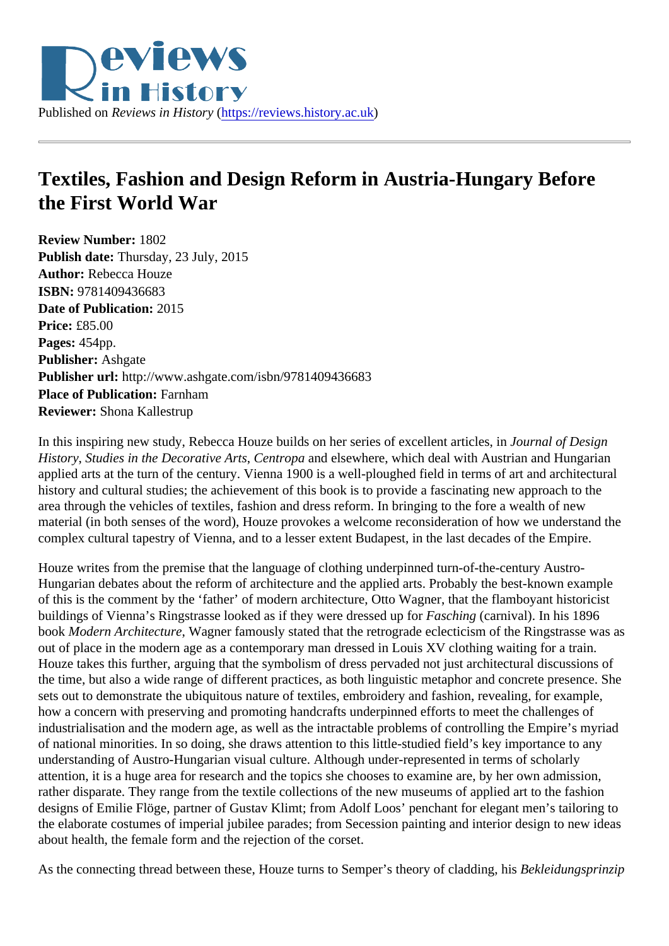## Textiles, Fashion and Design Reform in Austria-Hungary Before the First World War

Review Number: 1802 Publish date: Thursday, 23 July, 2015 Author: Rebecca Houze ISBN: 9781409436683 Date of Publication: 2015 Price: £85.00 Pages: 454pp. Publisher: Ashgate Publisher url: http://www.ashgate.com/isbn/9781409436683 Place of Publication: Farnham Reviewer: Shona Kallestrup

In this inspiring new study, Rebecca Houze builds on her series of excellent artides nial of Design History, Studies in the Decorative ArtGentropaand elsewhere, which deal with Austrian and Hungarian applied arts at the turn of the century. Vienna 1900 is a well-ploughed field in terms of art and architectura history and cultural studies; the achievement of this book is to provide a fascinating new approach to the area through the vehicles of textiles, fashion and dress reform. In bringing to the fore a wealth of new material (in both senses of the word), Houze provokes a welcome reconsideration of how we understand t complex cultural tapestry of Vienna, and to a lesser extent Budapest, in the last decades of the Empire.

Houze writes from the premise that the language of clothing underpinned turn-of-the-century Austro-Hungarian debates about the reform of architecture and the applied arts. Probably the best-known example of this is the comment by the 'father' of modern architecture, Otto Wagner, that the flamboyant historicist buildings of Vienna's Ringstrasse looked as if they were dressed Epsohing (carnival). In his 1896 book Modern Architecture Wagner famously stated that the retrograde eclecticism of the Ringstrasse was as out of place in the modern age as a contemporary man dressed in Louis XV clothing waiting for a train. Houze takes this further, arguing that the symbolism of dress pervaded not just architectural discussions of the time, but also a wide range of different practices, as both linguistic metaphor and concrete presence. She sets out to demonstrate the ubiquitous nature of textiles, embroidery and fashion, revealing, for example, how a concern with preserving and promoting handcrafts underpinned efforts to meet the challenges of industrialisation and the modern age, as well as the intractable problems of controlling the Empire's myriad of national minorities. In so doing, she draws attention to this little-studied field's key importance to any understanding of Austro-Hungarian visual culture. Although under-represented in terms of scholarly attention, it is a huge area for research and the topics she chooses to examine are, by her own admission, rather disparate. They range from the textile collections of the new museums of applied art to the fashion designs of Emilie Flöge, partner of Gustav Klimt; from Adolf Loos' penchant for elegant men's tailoring to the elaborate costumes of imperial jubilee parades; from Secession painting and interior design to new ideas about health, the female form and the rejection of the corset.

As the connecting thread between these, Houze turns to Semper's theory of cladding, dingsprinzip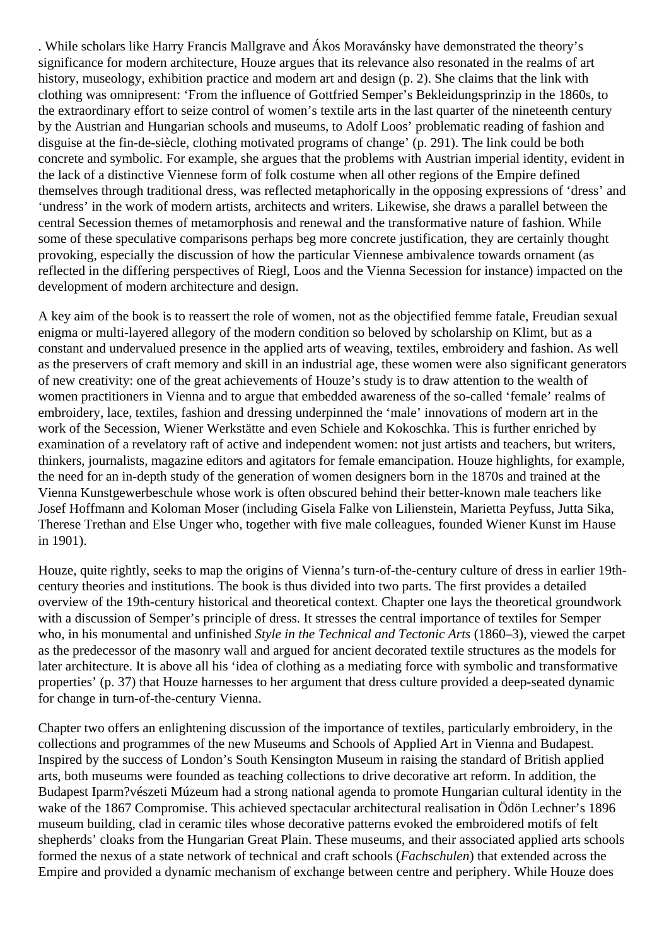. While scholars like Harry Francis Mallgrave and Ákos Moravánsky have demonstrated the theory's significance for modern architecture, Houze argues that its relevance also resonated in the realms of art history, museology, exhibition practice and modern art and design (p. 2). She claims that the link with clothing was omnipresent: 'From the influence of Gottfried Semper's Bekleidungsprinzip in the 1860s, to the extraordinary effort to seize control of women's textile arts in the last quarter of the nineteenth century by the Austrian and Hungarian schools and museums, to Adolf Loos' problematic reading of fashion and disguise at the fin-de-siècle, clothing motivated programs of change' (p. 291). The link could be both concrete and symbolic. For example, she argues that the problems with Austrian imperial identity, evident in the lack of a distinctive Viennese form of folk costume when all other regions of the Empire defined themselves through traditional dress, was reflected metaphorically in the opposing expressions of 'dress' and 'undress' in the work of modern artists, architects and writers. Likewise, she draws a parallel between the central Secession themes of metamorphosis and renewal and the transformative nature of fashion. While some of these speculative comparisons perhaps beg more concrete justification, they are certainly thought provoking, especially the discussion of how the particular Viennese ambivalence towards ornament (as reflected in the differing perspectives of Riegl, Loos and the Vienna Secession for instance) impacted on the development of modern architecture and design.

A key aim of the book is to reassert the role of women, not as the objectified femme fatale, Freudian sexual enigma or multi-layered allegory of the modern condition so beloved by scholarship on Klimt, but as a constant and undervalued presence in the applied arts of weaving, textiles, embroidery and fashion. As well as the preservers of craft memory and skill in an industrial age, these women were also significant generators of new creativity: one of the great achievements of Houze's study is to draw attention to the wealth of women practitioners in Vienna and to argue that embedded awareness of the so-called 'female' realms of embroidery, lace, textiles, fashion and dressing underpinned the 'male' innovations of modern art in the work of the Secession, Wiener Werkstätte and even Schiele and Kokoschka. This is further enriched by examination of a revelatory raft of active and independent women: not just artists and teachers, but writers, thinkers, journalists, magazine editors and agitators for female emancipation. Houze highlights, for example, the need for an in-depth study of the generation of women designers born in the 1870s and trained at the Vienna Kunstgewerbeschule whose work is often obscured behind their better-known male teachers like Josef Hoffmann and Koloman Moser (including Gisela Falke von Lilienstein, Marietta Peyfuss, Jutta Sika, Therese Trethan and Else Unger who, together with five male colleagues, founded Wiener Kunst im Hause in 1901).

Houze, quite rightly, seeks to map the origins of Vienna's turn-of-the-century culture of dress in earlier 19thcentury theories and institutions. The book is thus divided into two parts. The first provides a detailed overview of the 19th-century historical and theoretical context. Chapter one lays the theoretical groundwork with a discussion of Semper's principle of dress. It stresses the central importance of textiles for Semper who, in his monumental and unfinished *Style in the Technical and Tectonic Arts* (1860–3), viewed the carpet as the predecessor of the masonry wall and argued for ancient decorated textile structures as the models for later architecture. It is above all his 'idea of clothing as a mediating force with symbolic and transformative properties' (p. 37) that Houze harnesses to her argument that dress culture provided a deep-seated dynamic for change in turn-of-the-century Vienna.

Chapter two offers an enlightening discussion of the importance of textiles, particularly embroidery, in the collections and programmes of the new Museums and Schools of Applied Art in Vienna and Budapest. Inspired by the success of London's South Kensington Museum in raising the standard of British applied arts, both museums were founded as teaching collections to drive decorative art reform. In addition, the Budapest Iparm?vészeti Múzeum had a strong national agenda to promote Hungarian cultural identity in the wake of the 1867 Compromise. This achieved spectacular architectural realisation in Ödön Lechner's 1896 museum building, clad in ceramic tiles whose decorative patterns evoked the embroidered motifs of felt shepherds' cloaks from the Hungarian Great Plain. These museums, and their associated applied arts schools formed the nexus of a state network of technical and craft schools (*Fachschulen*) that extended across the Empire and provided a dynamic mechanism of exchange between centre and periphery. While Houze does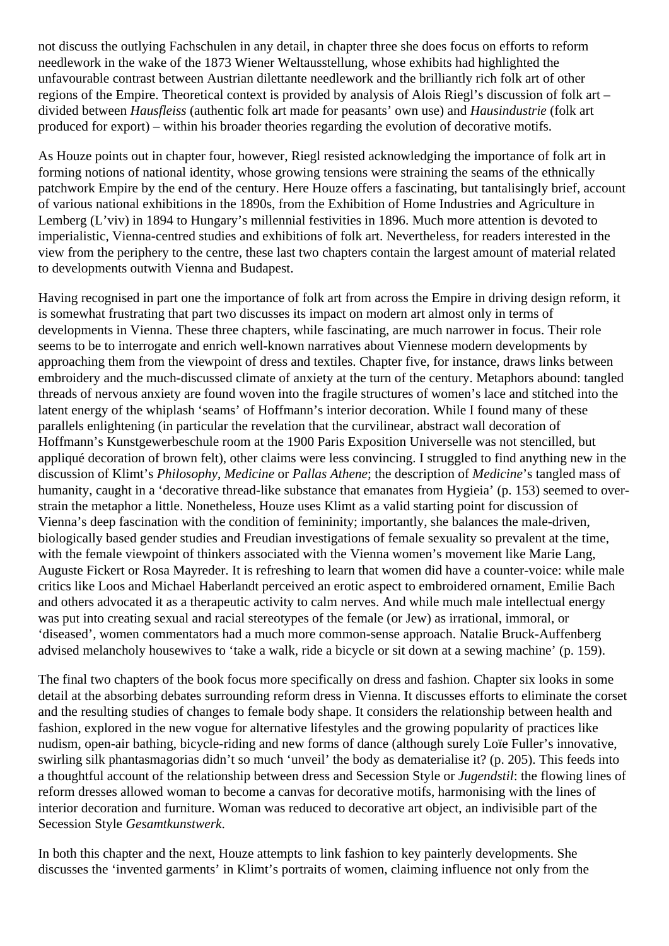not discuss the outlying Fachschulen in any detail, in chapter three she does focus on efforts to reform needlework in the wake of the 1873 Wiener Weltausstellung, whose exhibits had highlighted the unfavourable contrast between Austrian dilettante needlework and the brilliantly rich folk art of other regions of the Empire. Theoretical context is provided by analysis of Alois Riegl's discussion of folk art – divided between *Hausfleiss* (authentic folk art made for peasants' own use) and *Hausindustrie* (folk art produced for export) – within his broader theories regarding the evolution of decorative motifs.

As Houze points out in chapter four, however, Riegl resisted acknowledging the importance of folk art in forming notions of national identity, whose growing tensions were straining the seams of the ethnically patchwork Empire by the end of the century. Here Houze offers a fascinating, but tantalisingly brief, account of various national exhibitions in the 1890s, from the Exhibition of Home Industries and Agriculture in Lemberg (L'viv) in 1894 to Hungary's millennial festivities in 1896. Much more attention is devoted to imperialistic, Vienna-centred studies and exhibitions of folk art. Nevertheless, for readers interested in the view from the periphery to the centre, these last two chapters contain the largest amount of material related to developments outwith Vienna and Budapest.

Having recognised in part one the importance of folk art from across the Empire in driving design reform, it is somewhat frustrating that part two discusses its impact on modern art almost only in terms of developments in Vienna. These three chapters, while fascinating, are much narrower in focus. Their role seems to be to interrogate and enrich well-known narratives about Viennese modern developments by approaching them from the viewpoint of dress and textiles. Chapter five, for instance, draws links between embroidery and the much-discussed climate of anxiety at the turn of the century. Metaphors abound: tangled threads of nervous anxiety are found woven into the fragile structures of women's lace and stitched into the latent energy of the whiplash 'seams' of Hoffmann's interior decoration. While I found many of these parallels enlightening (in particular the revelation that the curvilinear, abstract wall decoration of Hoffmann's Kunstgewerbeschule room at the 1900 Paris Exposition Universelle was not stencilled, but appliqué decoration of brown felt), other claims were less convincing. I struggled to find anything new in the discussion of Klimt's *Philosophy*, *Medicine* or *Pallas Athene*; the description of *Medicine*'s tangled mass of humanity, caught in a 'decorative thread-like substance that emanates from Hygieia' (p. 153) seemed to overstrain the metaphor a little. Nonetheless, Houze uses Klimt as a valid starting point for discussion of Vienna's deep fascination with the condition of femininity; importantly, she balances the male-driven, biologically based gender studies and Freudian investigations of female sexuality so prevalent at the time, with the female viewpoint of thinkers associated with the Vienna women's movement like Marie Lang, Auguste Fickert or Rosa Mayreder. It is refreshing to learn that women did have a counter-voice: while male critics like Loos and Michael Haberlandt perceived an erotic aspect to embroidered ornament, Emilie Bach and others advocated it as a therapeutic activity to calm nerves. And while much male intellectual energy was put into creating sexual and racial stereotypes of the female (or Jew) as irrational, immoral, or 'diseased', women commentators had a much more common-sense approach. Natalie Bruck-Auffenberg advised melancholy housewives to 'take a walk, ride a bicycle or sit down at a sewing machine' (p. 159).

The final two chapters of the book focus more specifically on dress and fashion. Chapter six looks in some detail at the absorbing debates surrounding reform dress in Vienna. It discusses efforts to eliminate the corset and the resulting studies of changes to female body shape. It considers the relationship between health and fashion, explored in the new vogue for alternative lifestyles and the growing popularity of practices like nudism, open-air bathing, bicycle-riding and new forms of dance (although surely Loïe Fuller's innovative, swirling silk phantasmagorias didn't so much 'unveil' the body as dematerialise it? (p. 205). This feeds into a thoughtful account of the relationship between dress and Secession Style or *Jugendstil*: the flowing lines of reform dresses allowed woman to become a canvas for decorative motifs, harmonising with the lines of interior decoration and furniture. Woman was reduced to decorative art object, an indivisible part of the Secession Style *Gesamtkunstwerk*.

In both this chapter and the next, Houze attempts to link fashion to key painterly developments. She discusses the 'invented garments' in Klimt's portraits of women, claiming influence not only from the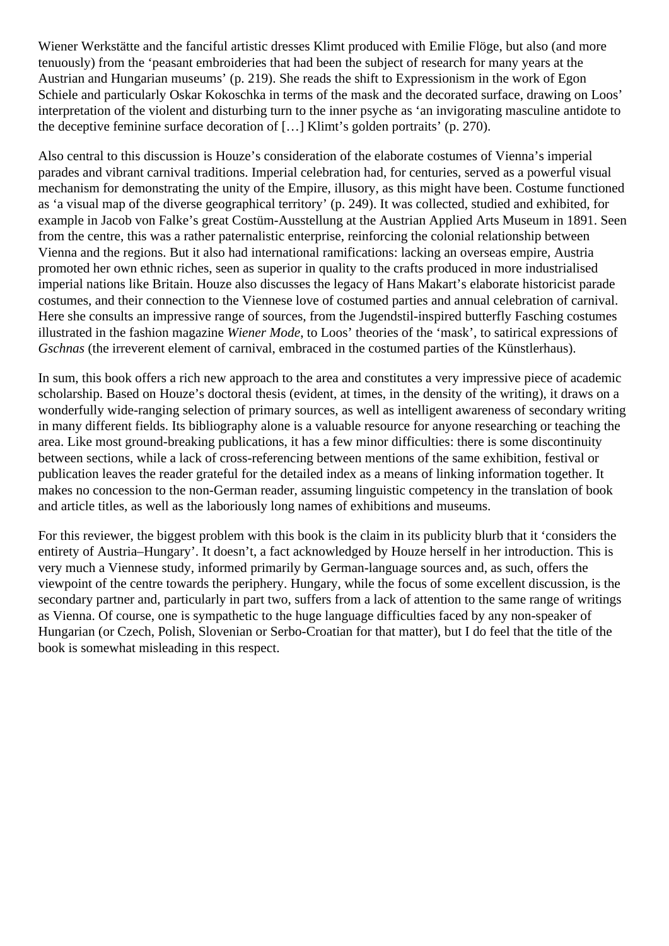Wiener Werkstätte and the fanciful artistic dresses Klimt produced with Emilie Flöge, but also (and more tenuously) from the 'peasant embroideries that had been the subject of research for many years at the Austrian and Hungarian museums' (p. 219). She reads the shift to Expressionism in the work of Egon Schiele and particularly Oskar Kokoschka in terms of the mask and the decorated surface, drawing on Loos' interpretation of the violent and disturbing turn to the inner psyche as 'an invigorating masculine antidote to the deceptive feminine surface decoration of […] Klimt's golden portraits' (p. 270).

Also central to this discussion is Houze's consideration of the elaborate costumes of Vienna's imperial parades and vibrant carnival traditions. Imperial celebration had, for centuries, served as a powerful visual mechanism for demonstrating the unity of the Empire, illusory, as this might have been. Costume functioned as 'a visual map of the diverse geographical territory' (p. 249). It was collected, studied and exhibited, for example in Jacob von Falke's great Costüm-Ausstellung at the Austrian Applied Arts Museum in 1891. Seen from the centre, this was a rather paternalistic enterprise, reinforcing the colonial relationship between Vienna and the regions. But it also had international ramifications: lacking an overseas empire, Austria promoted her own ethnic riches, seen as superior in quality to the crafts produced in more industrialised imperial nations like Britain. Houze also discusses the legacy of Hans Makart's elaborate historicist parade costumes, and their connection to the Viennese love of costumed parties and annual celebration of carnival. Here she consults an impressive range of sources, from the Jugendstil-inspired butterfly Fasching costumes illustrated in the fashion magazine *Wiener Mode*, to Loos' theories of the 'mask', to satirical expressions of *Gschnas* (the irreverent element of carnival, embraced in the costumed parties of the Künstlerhaus).

In sum, this book offers a rich new approach to the area and constitutes a very impressive piece of academic scholarship. Based on Houze's doctoral thesis (evident, at times, in the density of the writing), it draws on a wonderfully wide-ranging selection of primary sources, as well as intelligent awareness of secondary writing in many different fields. Its bibliography alone is a valuable resource for anyone researching or teaching the area. Like most ground-breaking publications, it has a few minor difficulties: there is some discontinuity between sections, while a lack of cross-referencing between mentions of the same exhibition, festival or publication leaves the reader grateful for the detailed index as a means of linking information together. It makes no concession to the non-German reader, assuming linguistic competency in the translation of book and article titles, as well as the laboriously long names of exhibitions and museums.

For this reviewer, the biggest problem with this book is the claim in its publicity blurb that it 'considers the entirety of Austria–Hungary'. It doesn't, a fact acknowledged by Houze herself in her introduction. This is very much a Viennese study, informed primarily by German-language sources and, as such, offers the viewpoint of the centre towards the periphery. Hungary, while the focus of some excellent discussion, is the secondary partner and, particularly in part two, suffers from a lack of attention to the same range of writings as Vienna. Of course, one is sympathetic to the huge language difficulties faced by any non-speaker of Hungarian (or Czech, Polish, Slovenian or Serbo-Croatian for that matter), but I do feel that the title of the book is somewhat misleading in this respect.